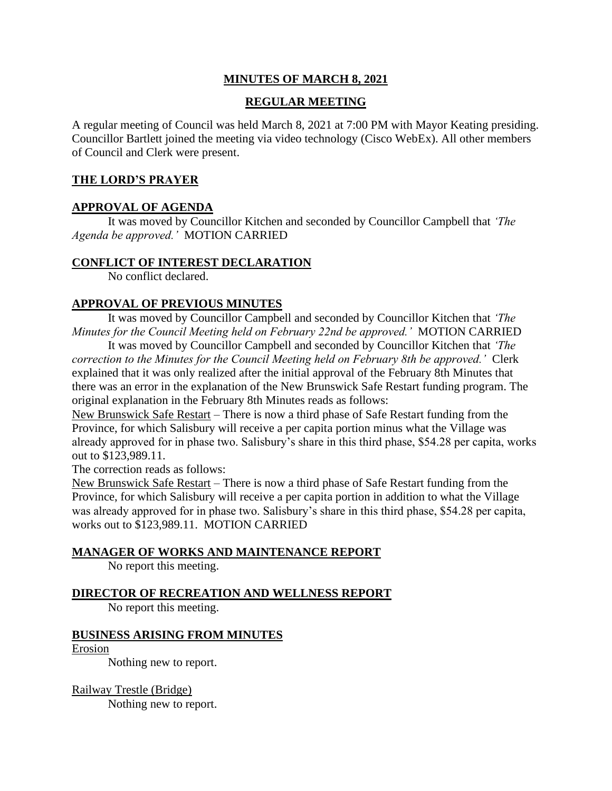### **MINUTES OF MARCH 8, 2021**

### **REGULAR MEETING**

A regular meeting of Council was held March 8, 2021 at 7:00 PM with Mayor Keating presiding. Councillor Bartlett joined the meeting via video technology (Cisco WebEx). All other members of Council and Clerk were present.

### **THE LORD'S PRAYER**

### **APPROVAL OF AGENDA**

It was moved by Councillor Kitchen and seconded by Councillor Campbell that *'The Agenda be approved.'* MOTION CARRIED

#### **CONFLICT OF INTEREST DECLARATION**

No conflict declared.

### **APPROVAL OF PREVIOUS MINUTES**

It was moved by Councillor Campbell and seconded by Councillor Kitchen that *'The Minutes for the Council Meeting held on February 22nd be approved.'* MOTION CARRIED

It was moved by Councillor Campbell and seconded by Councillor Kitchen that *'The correction to the Minutes for the Council Meeting held on February 8th be approved.'* Clerk explained that it was only realized after the initial approval of the February 8th Minutes that there was an error in the explanation of the New Brunswick Safe Restart funding program. The original explanation in the February 8th Minutes reads as follows:

New Brunswick Safe Restart – There is now a third phase of Safe Restart funding from the Province, for which Salisbury will receive a per capita portion minus what the Village was already approved for in phase two. Salisbury's share in this third phase, \$54.28 per capita, works out to \$123,989.11.

The correction reads as follows:

New Brunswick Safe Restart – There is now a third phase of Safe Restart funding from the Province, for which Salisbury will receive a per capita portion in addition to what the Village was already approved for in phase two. Salisbury's share in this third phase, \$54.28 per capita, works out to \$123,989.11. MOTION CARRIED

### **MANAGER OF WORKS AND MAINTENANCE REPORT**

No report this meeting.

### **DIRECTOR OF RECREATION AND WELLNESS REPORT**

No report this meeting.

#### **BUSINESS ARISING FROM MINUTES**

Erosion

Nothing new to report.

### Railway Trestle (Bridge)

Nothing new to report.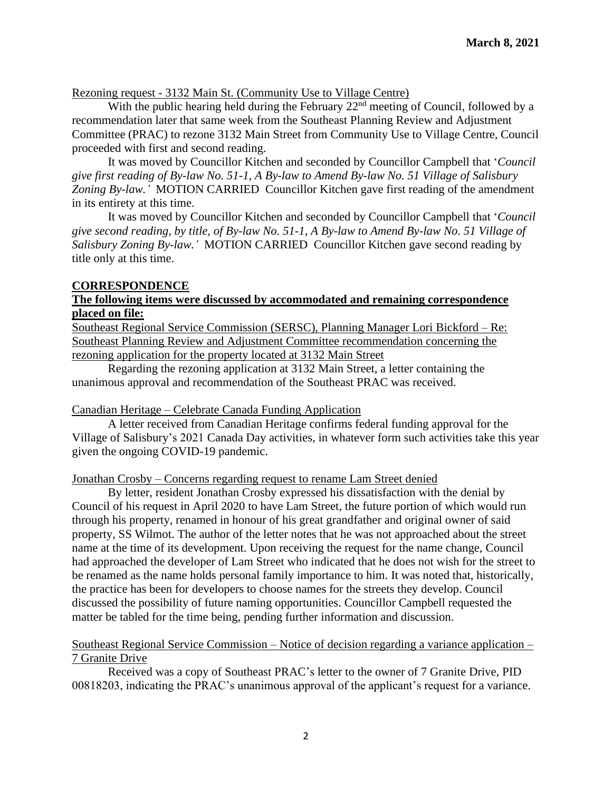#### Rezoning request - 3132 Main St. (Community Use to Village Centre)

With the public hearing held during the February  $22<sup>nd</sup>$  meeting of Council, followed by a recommendation later that same week from the Southeast Planning Review and Adjustment Committee (PRAC) to rezone 3132 Main Street from Community Use to Village Centre, Council proceeded with first and second reading.

It was moved by Councillor Kitchen and seconded by Councillor Campbell that '*Council give first reading of By-law No. 51-1, A By-law to Amend By-law No. 51 Village of Salisbury Zoning By-law.'* MOTION CARRIED Councillor Kitchen gave first reading of the amendment in its entirety at this time.

It was moved by Councillor Kitchen and seconded by Councillor Campbell that '*Council give second reading, by title, of By-law No. 51-1, A By-law to Amend By-law No. 51 Village of Salisbury Zoning By-law.'* MOTION CARRIED Councillor Kitchen gave second reading by title only at this time.

#### **CORRESPONDENCE**

#### **The following items were discussed by accommodated and remaining correspondence placed on file:**

Southeast Regional Service Commission (SERSC), Planning Manager Lori Bickford – Re: Southeast Planning Review and Adjustment Committee recommendation concerning the rezoning application for the property located at 3132 Main Street

Regarding the rezoning application at 3132 Main Street, a letter containing the unanimous approval and recommendation of the Southeast PRAC was received.

#### Canadian Heritage – Celebrate Canada Funding Application

A letter received from Canadian Heritage confirms federal funding approval for the Village of Salisbury's 2021 Canada Day activities, in whatever form such activities take this year given the ongoing COVID-19 pandemic.

### Jonathan Crosby – Concerns regarding request to rename Lam Street denied

By letter, resident Jonathan Crosby expressed his dissatisfaction with the denial by Council of his request in April 2020 to have Lam Street, the future portion of which would run through his property, renamed in honour of his great grandfather and original owner of said property, SS Wilmot. The author of the letter notes that he was not approached about the street name at the time of its development. Upon receiving the request for the name change, Council had approached the developer of Lam Street who indicated that he does not wish for the street to be renamed as the name holds personal family importance to him. It was noted that, historically, the practice has been for developers to choose names for the streets they develop. Council discussed the possibility of future naming opportunities. Councillor Campbell requested the matter be tabled for the time being, pending further information and discussion.

#### Southeast Regional Service Commission – Notice of decision regarding a variance application – 7 Granite Drive

Received was a copy of Southeast PRAC's letter to the owner of 7 Granite Drive, PID 00818203, indicating the PRAC's unanimous approval of the applicant's request for a variance.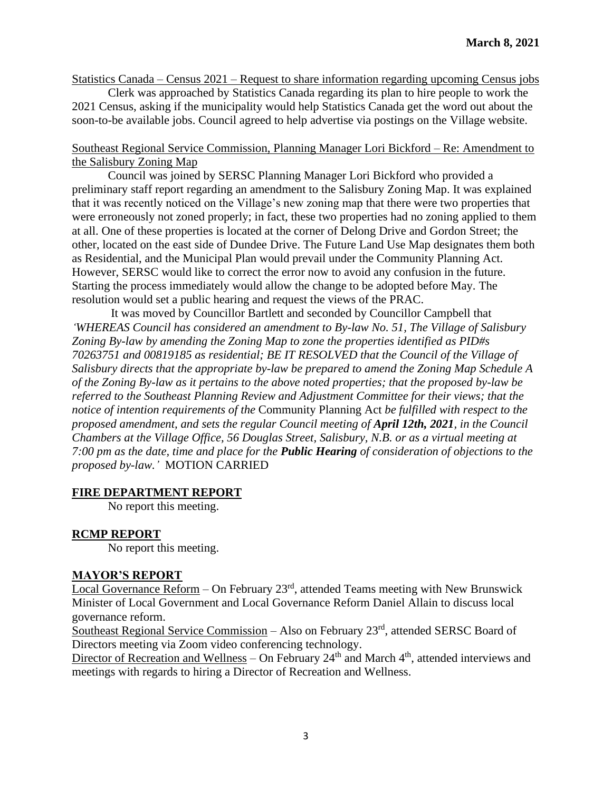Statistics Canada – Census 2021 – Request to share information regarding upcoming Census jobs

Clerk was approached by Statistics Canada regarding its plan to hire people to work the 2021 Census, asking if the municipality would help Statistics Canada get the word out about the soon-to-be available jobs. Council agreed to help advertise via postings on the Village website.

#### Southeast Regional Service Commission, Planning Manager Lori Bickford – Re: Amendment to the Salisbury Zoning Map

Council was joined by SERSC Planning Manager Lori Bickford who provided a preliminary staff report regarding an amendment to the Salisbury Zoning Map. It was explained that it was recently noticed on the Village's new zoning map that there were two properties that were erroneously not zoned properly; in fact, these two properties had no zoning applied to them at all. One of these properties is located at the corner of Delong Drive and Gordon Street; the other, located on the east side of Dundee Drive. The Future Land Use Map designates them both as Residential, and the Municipal Plan would prevail under the Community Planning Act. However, SERSC would like to correct the error now to avoid any confusion in the future. Starting the process immediately would allow the change to be adopted before May. The resolution would set a public hearing and request the views of the PRAC.

It was moved by Councillor Bartlett and seconded by Councillor Campbell that *'WHEREAS Council has considered an amendment to By-law No. 51, The Village of Salisbury Zoning By-law by amending the Zoning Map to zone the properties identified as PID#s 70263751 and 00819185 as residential; BE IT RESOLVED that the Council of the Village of Salisbury directs that the appropriate by-law be prepared to amend the Zoning Map Schedule A of the Zoning By-law as it pertains to the above noted properties; that the proposed by-law be referred to the Southeast Planning Review and Adjustment Committee for their views; that the notice of intention requirements of the* Community Planning Act *be fulfilled with respect to the proposed amendment, and sets the regular Council meeting of April 12th, 2021<i>, in the Council Chambers at the Village Office, 56 Douglas Street, Salisbury, N.B. or as a virtual meeting at 7:00 pm as the date, time and place for the Public Hearing of consideration of objections to the proposed by-law.'* MOTION CARRIED

#### **FIRE DEPARTMENT REPORT**

No report this meeting.

#### **RCMP REPORT**

No report this meeting.

#### **MAYOR'S REPORT**

Local Governance Reform – On February  $23<sup>rd</sup>$ , attended Teams meeting with New Brunswick Minister of Local Government and Local Governance Reform Daniel Allain to discuss local governance reform.

Southeast Regional Service Commission – Also on February 23<sup>rd</sup>, attended SERSC Board of Directors meeting via Zoom video conferencing technology.

Director of Recreation and Wellness – On February  $24<sup>th</sup>$  and March  $4<sup>th</sup>$ , attended interviews and meetings with regards to hiring a Director of Recreation and Wellness.